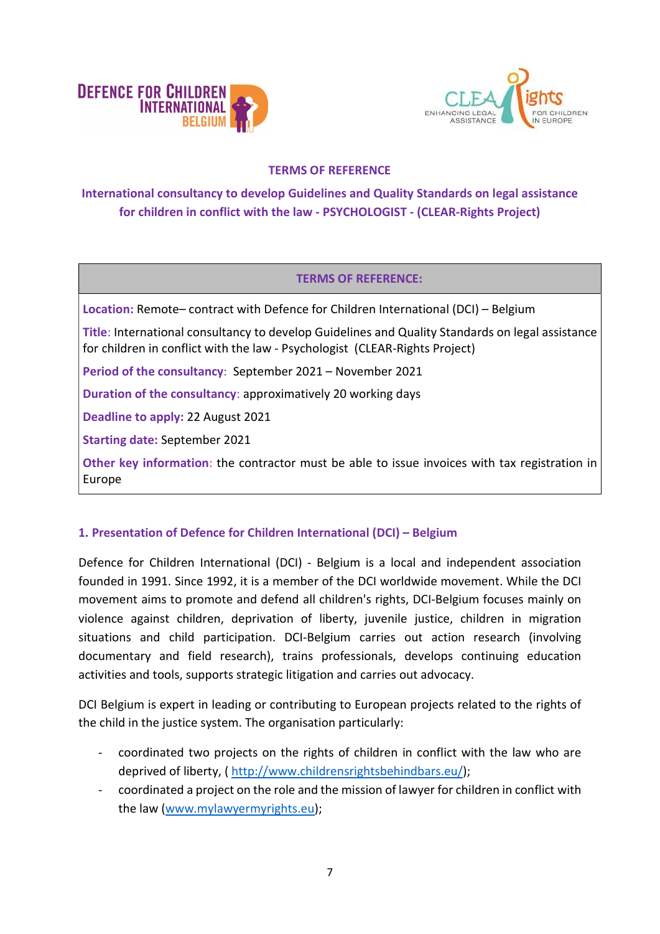



### TERMS OF REFERENCE

# International consultancy to develop Guidelines and Quality Standards on legal assistance for children in conflict with the law - PSYCHOLOGIST - (CLEAR-Rights Project)

#### TERMS OF REFERENCE:

Location: Remote– contract with Defence for Children International (DCI) – Belgium

Title: International consultancy to develop Guidelines and Quality Standards on legal assistance for children in conflict with the law - Psychologist (CLEAR-Rights Project)

Period of the consultancy: September 2021 – November 2021

Duration of the consultancy: approximatively 20 working days

Deadline to apply: 22 August 2021

Starting date: September 2021

Other key information: the contractor must be able to issue invoices with tax registration in Europe

#### 1. Presentation of Defence for Children International (DCI) – Belgium

Defence for Children International (DCI) - Belgium is a local and independent association founded in 1991. Since 1992, it is a member of the DCI worldwide movement. While the DCI movement aims to promote and defend all children's rights, DCI-Belgium focuses mainly on violence against children, deprivation of liberty, juvenile justice, children in migration situations and child participation. DCI-Belgium carries out action research (involving documentary and field research), trains professionals, develops continuing education activities and tools, supports strategic litigation and carries out advocacy.

DCI Belgium is expert in leading or contributing to European projects related to the rights of the child in the justice system. The organisation particularly:

- coordinated two projects on the rights of children in conflict with the law who are deprived of liberty, ( http://www.childrensrightsbehindbars.eu/);
- coordinated a project on the role and the mission of lawyer for children in conflict with the law (www.mylawyermyrights.eu);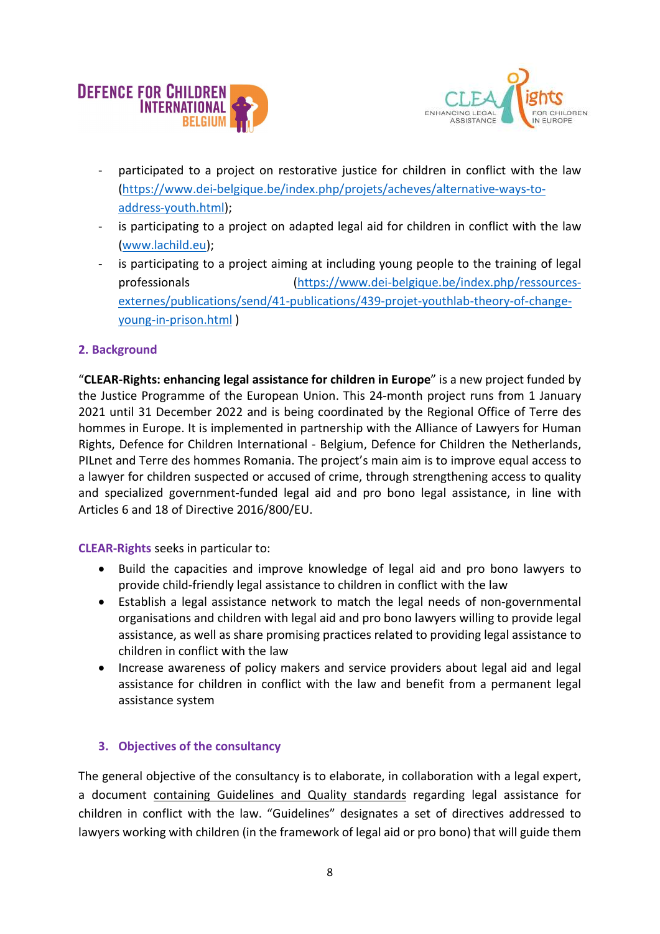



- participated to a project on restorative justice for children in conflict with the law (https://www.dei-belgique.be/index.php/projets/acheves/alternative-ways-toaddress-youth.html);
- is participating to a project on adapted legal aid for children in conflict with the law (www.lachild.eu);
- is participating to a project aiming at including young people to the training of legal professionals (https://www.dei-belgique.be/index.php/ressourcesexternes/publications/send/41-publications/439-projet-youthlab-theory-of-changeyoung-in-prison.html )

## 2. Background

"CLEAR-Rights: enhancing legal assistance for children in Europe" is a new project funded by the Justice Programme of the European Union. This 24-month project runs from 1 January 2021 until 31 December 2022 and is being coordinated by the Regional Office of Terre des hommes in Europe. It is implemented in partnership with the Alliance of Lawyers for Human Rights, Defence for Children International - Belgium, Defence for Children the Netherlands, PILnet and Terre des hommes Romania. The project's main aim is to improve equal access to a lawyer for children suspected or accused of crime, through strengthening access to quality and specialized government-funded legal aid and pro bono legal assistance, in line with Articles 6 and 18 of Directive 2016/800/EU.

CLEAR-Rights seeks in particular to:

- Build the capacities and improve knowledge of legal aid and pro bono lawyers to provide child-friendly legal assistance to children in conflict with the law
- Establish a legal assistance network to match the legal needs of non-governmental organisations and children with legal aid and pro bono lawyers willing to provide legal assistance, as well as share promising practices related to providing legal assistance to children in conflict with the law
- Increase awareness of policy makers and service providers about legal aid and legal assistance for children in conflict with the law and benefit from a permanent legal assistance system

# 3. Objectives of the consultancy

The general objective of the consultancy is to elaborate, in collaboration with a legal expert, a document containing Guidelines and Quality standards regarding legal assistance for children in conflict with the law. "Guidelines" designates a set of directives addressed to lawyers working with children (in the framework of legal aid or pro bono) that will guide them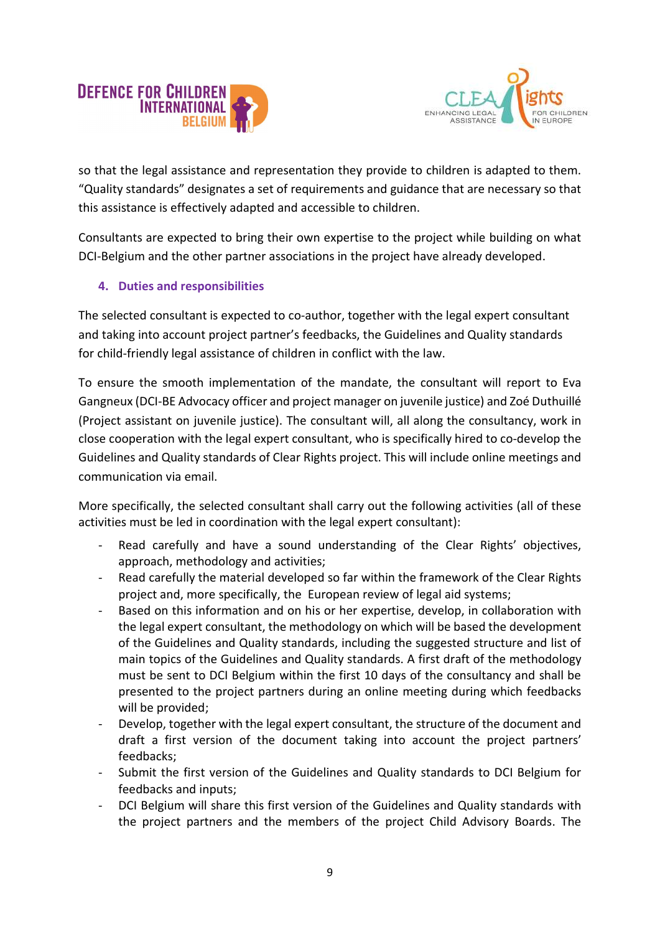



so that the legal assistance and representation they provide to children is adapted to them. "Quality standards" designates a set of requirements and guidance that are necessary so that this assistance is effectively adapted and accessible to children.

Consultants are expected to bring their own expertise to the project while building on what DCI-Belgium and the other partner associations in the project have already developed.

## 4. Duties and responsibilities

The selected consultant is expected to co-author, together with the legal expert consultant and taking into account project partner's feedbacks, the Guidelines and Quality standards for child-friendly legal assistance of children in conflict with the law.

To ensure the smooth implementation of the mandate, the consultant will report to Eva Gangneux (DCI-BE Advocacy officer and project manager on juvenile justice) and Zoé Duthuillé (Project assistant on juvenile justice). The consultant will, all along the consultancy, work in close cooperation with the legal expert consultant, who is specifically hired to co-develop the Guidelines and Quality standards of Clear Rights project. This will include online meetings and communication via email.

More specifically, the selected consultant shall carry out the following activities (all of these activities must be led in coordination with the legal expert consultant):

- Read carefully and have a sound understanding of the Clear Rights' objectives, approach, methodology and activities;
- Read carefully the material developed so far within the framework of the Clear Rights project and, more specifically, the European review of legal aid systems;
- Based on this information and on his or her expertise, develop, in collaboration with the legal expert consultant, the methodology on which will be based the development of the Guidelines and Quality standards, including the suggested structure and list of main topics of the Guidelines and Quality standards. A first draft of the methodology must be sent to DCI Belgium within the first 10 days of the consultancy and shall be presented to the project partners during an online meeting during which feedbacks will be provided;
- Develop, together with the legal expert consultant, the structure of the document and draft a first version of the document taking into account the project partners' feedbacks;
- Submit the first version of the Guidelines and Quality standards to DCI Belgium for feedbacks and inputs;
- DCI Belgium will share this first version of the Guidelines and Quality standards with the project partners and the members of the project Child Advisory Boards. The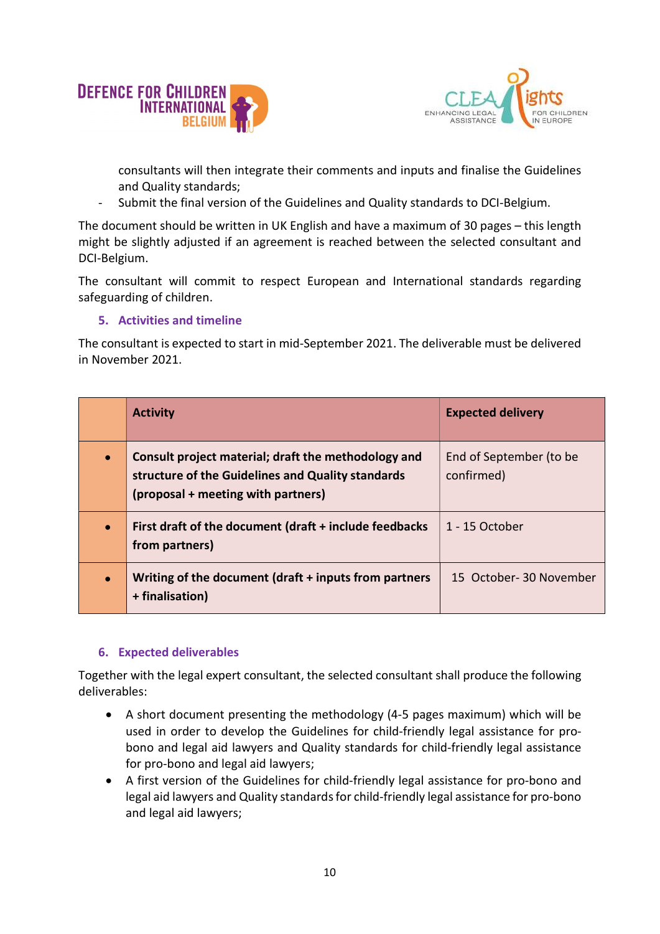



consultants will then integrate their comments and inputs and finalise the Guidelines and Quality standards;

- Submit the final version of the Guidelines and Quality standards to DCI-Belgium.

The document should be written in UK English and have a maximum of 30 pages – this length might be slightly adjusted if an agreement is reached between the selected consultant and DCI-Belgium.

The consultant will commit to respect European and International standards regarding safeguarding of children.

### 5. Activities and timeline

The consultant is expected to start in mid-September 2021. The deliverable must be delivered in November 2021.

| <b>Activity</b>                                                                                                                                | <b>Expected delivery</b>              |
|------------------------------------------------------------------------------------------------------------------------------------------------|---------------------------------------|
| Consult project material; draft the methodology and<br>structure of the Guidelines and Quality standards<br>(proposal + meeting with partners) | End of September (to be<br>confirmed) |
| First draft of the document (draft + include feedbacks<br>from partners)                                                                       | 1 - 15 October                        |
| Writing of the document (draft + inputs from partners<br>+ finalisation)                                                                       | 15 October-30 November                |

## 6. Expected deliverables

Together with the legal expert consultant, the selected consultant shall produce the following deliverables:

- A short document presenting the methodology (4-5 pages maximum) which will be used in order to develop the Guidelines for child-friendly legal assistance for probono and legal aid lawyers and Quality standards for child-friendly legal assistance for pro-bono and legal aid lawyers;
- A first version of the Guidelines for child-friendly legal assistance for pro-bono and legal aid lawyers and Quality standards for child-friendly legal assistance for pro-bono and legal aid lawyers;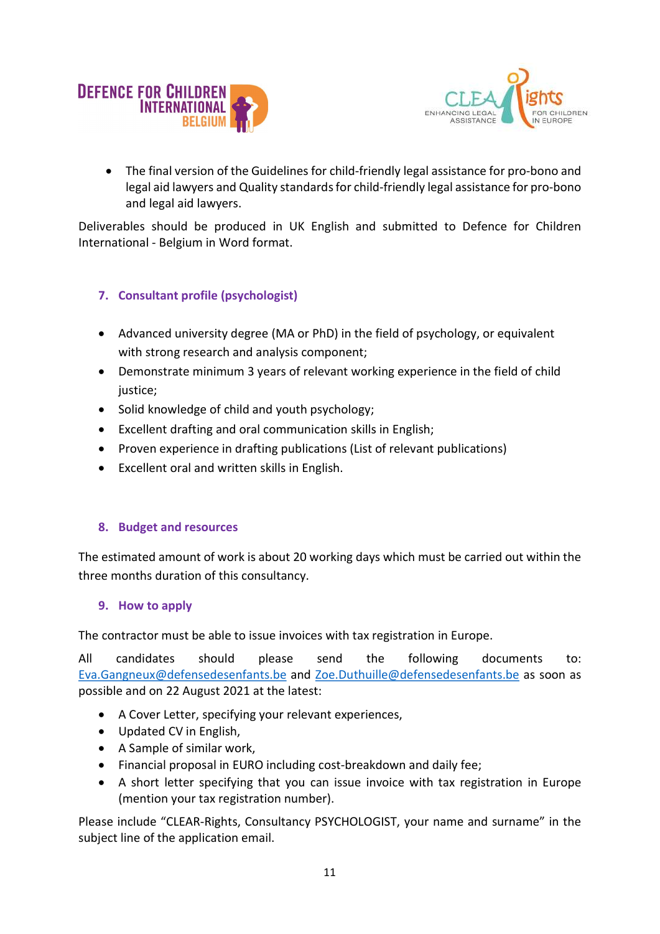



 The final version of the Guidelines for child-friendly legal assistance for pro-bono and legal aid lawyers and Quality standards for child-friendly legal assistance for pro-bono and legal aid lawyers.

Deliverables should be produced in UK English and submitted to Defence for Children International - Belgium in Word format.

# 7. Consultant profile (psychologist)

- Advanced university degree (MA or PhD) in the field of psychology, or equivalent with strong research and analysis component;
- Demonstrate minimum 3 years of relevant working experience in the field of child iustice:
- Solid knowledge of child and youth psychology;
- Excellent drafting and oral communication skills in English;
- Proven experience in drafting publications (List of relevant publications)
- Excellent oral and written skills in English.

## 8. Budget and resources

The estimated amount of work is about 20 working days which must be carried out within the three months duration of this consultancy.

## 9. How to apply

The contractor must be able to issue invoices with tax registration in Europe.

All candidates should please send the following documents to: Eva.Gangneux@defensedesenfants.be and Zoe.Duthuille@defensedesenfants.be as soon as possible and on 22 August 2021 at the latest:

- A Cover Letter, specifying your relevant experiences,
- Updated CV in English,
- A Sample of similar work,
- Financial proposal in EURO including cost-breakdown and daily fee;
- A short letter specifying that you can issue invoice with tax registration in Europe (mention your tax registration number).

Please include "CLEAR-Rights, Consultancy PSYCHOLOGIST, your name and surname" in the subject line of the application email.